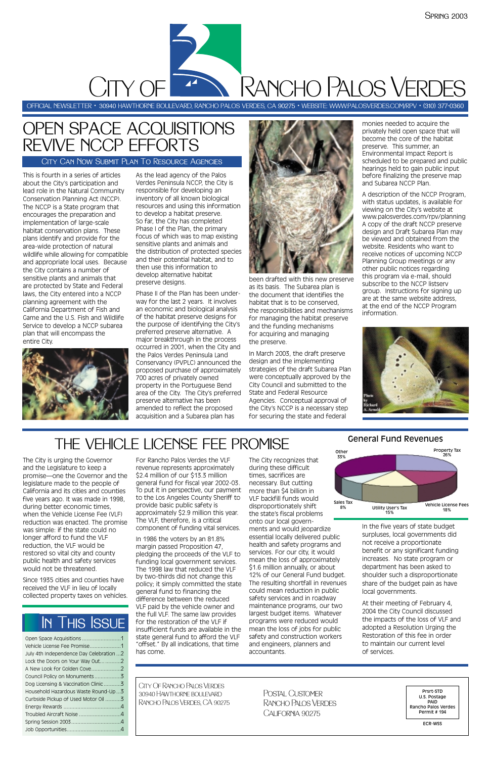This is fourth in a series of articles about the City's participation and lead role in the Natural Community Conservation Planning Act (NCCP). The NCCP is a State program that encourages the preparation and implementation of large-scale habitat conservation plans. These plans identify and provide for the area-wide protection of natural wildlife while allowing for compatible and appropriate local uses. Because the City contains a number of sensitive plants and animals that are protected by State and Federal laws, the City entered into a NCCP planning agreement with the California Department of Fish and Game and the U.S. Fish and Wildlife Service to develop a NCCP subarea plan that will encompass the entire City.



As the lead agency of the Palos Verdes Peninsula NCCP, the City is responsible for developing an inventory of all known biological resources and using this information to develop a habitat preserve. So far, the City has completed Phase I of the Plan, the primary focus of which was to map existing sensitive plants and animals and the distribution of protected species and their potential habitat, and to then use this information to develop alternative habitat preserve designs.

Phase II of the Plan has been underway for the last 2 years. It involves an economic and biological analysis of the habitat preserve designs for the purpose of identifying the City's preferred preserve alternative. A major breakthrough in the process occurred in 2001, when the City and the Palos Verdes Peninsula Land Conservancy (PVPLC) announced the proposed purchase of approximately 700 acres of privately owned property in the Portuguese Bend area of the City. The City's preferred preserve alternative has been amended to reflect the proposed acquisition and a Subarea plan has



been drafted with this new preserve as its basis. The Subarea plan is the document that identifies the habitat that is to be conserved, the responsibilities and mechanisms for managing the habitat preserve and the funding mechanisms for acquiring and managing the preserve.

In March 2003, the draft preserve design and the implementing strategies of the draft Subarea Plan were conceptually approved by the City Council and submitted to the State and Federal Resource Agencies. Conceptual approval of the City's NCCP is a necessary step for securing the state and federal

monies needed to acquire the privately held open space that will become the core of the habitat preserve. This summer, an Environmental Impact Report is scheduled to be prepared and public hearings held to gain public input before finalizing the preserve map and Subarea NCCP Plan.

A description of the NCCP Program, with status updates, is available for viewing on the City's website at www.palosverdes.com/rpv/planning A copy of the draft NCCP preserve design and Draft Subarea Plan may be viewed and obtained from the website. Residents who want to receive notices of upcoming NCCP Planning Group meetings or any other public notices regarding this program via e-mail, should subscribe to the NCCP listserv group. Instructions for signing up are at the same website address, at the end of the NCCP Program information.



# OPEN SPACE ACQUISITIONS REVIVE NCCP EFFORTS

CITY OF

### City Can Now Submit Plan To Resource Agencies

OFFICIAL NEWSLETTER • 30940 HAWTHORNE BOULEVARD, RANCHO PALOS VERDES, CA 90275 • WEBSITE: WWW:PALOSVERDES.COM/RPV • (310) 377-0360

| July 4th Independence Day Celebration  2 |
|------------------------------------------|
| Lock the Doors on Your Way Out 2         |
| A New Look for Golden Cove2              |
|                                          |
| Dog Licensing & Vaccination Clinic3      |
| Household Hazardous Waste Round-Up3      |
| Curbside Pickup of Used Motor Oil 3      |
|                                          |
| Troubled Aircraft Noise 4                |
|                                          |
|                                          |

The City is urging the Governor and the Legislature to keep a promise—one the Governor and the legislature made to the people of California and its cities and counties five years ago. It was made in 1998, during better economic times, when the Vehicle License Fee (VLF) reduction was enacted. The promise was simple: if the state could no longer afford to fund the VLF reduction, the VLF would be restored so vital city and county public health and safety services would not be threatened.

Since 1935 cities and counties have received the VLF in lieu of locally collected property taxes on vehicles.

For Rancho Palos Verdes the VLF revenue represents approximately \$2.4 million of our \$13.3 million general fund for fiscal year 2002-03. To put it in perspective, our payment to the Los Angeles County Sheriff to provide basic public safety is approximately \$2.9 million this year. The VLF, therefore, is a critical component of funding vital services.

In 1986 the voters by an 81.8% margin passed Proposition 47, pledging the proceeds of the VLF to

funding local government services. The 1998 law that reduced the VLF by two-thirds did not change this policy; it simply committed the state general fund to financing the difference between the reduced VLF paid by the vehicle owner and the full VLF. The same law provides for the restoration of the VLF if insufficient funds are available in the state general fund to afford the VLF "offset." By all indications, that time has come.

The City recognizes that during these difficult times, sacrifices are necessary. But cutting more than \$4 billion in VLF backfill funds would disproportionately shift the state's fiscal problems onto our local governments and would jeopardize essential locally delivered public health and safety programs and services. For our city, it would mean the loss of approximately \$1.6 million annually, or about 12% of our General Fund budget. The resulting shortfall in revenues could mean reduction in public safety services and in roadway maintenance programs, our two largest budget items. Whatever programs were reduced would mean the loss of jobs for public safety and construction workers and engineers, planners and accountants.

In the five years of state budget surpluses, local governments did not receive a proportionate benefit or any significant funding increases. No state program or department has been asked to shoulder such a disproportionate share of the budget pain as have local governments.

At their meeting of February 4, 2004 the City Council discussed the impacts of the loss of VLF and adopted a Resolution Urging the Restoration of this fee in order to maintain our current level of services.

# THE VEHICLE LICENSE FEE PROMISE

City Of Rancho Palos Verdes 30940 Hawthorne boulevard Rancho Palos Verdes, CA 90275

Prsrt-STD U.S. Postage PAID Rancho Palos Verdes Permit # 194

ECR-WSS

Postal Customer Rancho Palos Verdes California 90275

# In This Issue

### General Fund Revenues



Rancho Palos Verdes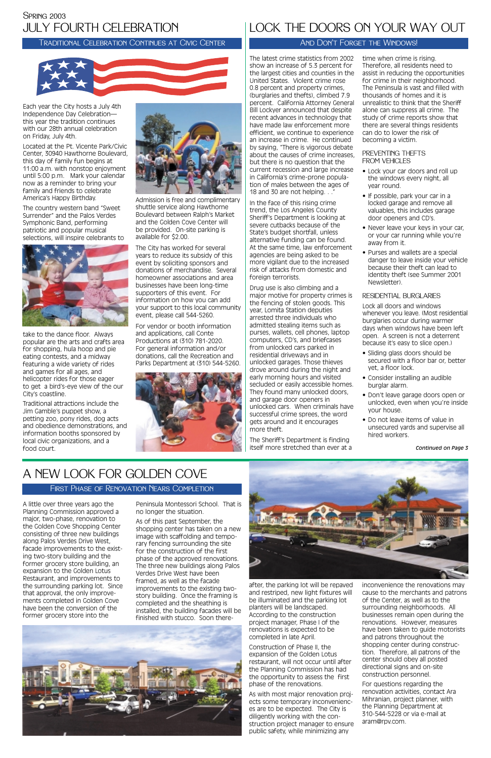Each year the City hosts a July 4th Independence Day Celebration this year the tradition continues with our 28th annual celebration on Friday, July 4th.

Located at the Pt. Vicente Park/Civic Center, 30940 Hawthorne Boulevard, this day of family fun begins at 11:00 a.m. with nonstop enjoyment until 5:00 p.m. Mark your calendar now as a reminder to bring your family and friends to celebrate America's Happy Birthday.

The country western band "Sweet Surrender" and the Palos Verdes Symphonic Band, performing patriotic and popular musical selections, will inspire celebrants to



take to the dance floor. Always popular are the arts and crafts area for shopping, hula hoop and pie eating contests, and a midway featuring a wide variety of rides and games for all ages, and helicopter rides for those eager to get a bird's-eye view of the our City's coastline.

Traditional attractions include the Jim Gamble's puppet show, a petting zoo, pony rides, dog acts and obedience demonstrations, and information booths sponsored by local civic organizations, and a food court.



Admission is free and complimentary shuttle service along Hawthorne Boulevard between Ralph's Market and the Golden Cove Center will be provided. On-site parking is available for \$2.00.

The City has worked for several years to reduce its subsidy of this event by soliciting sponsors and donations of merchandise. Several homeowner associations and area businesses have been long-time supporters of this event. For information on how you can add your support to this local community event, please call 544-5260.

For vendor or booth information and applications, call Conte Productions at (310) 781-2020. For general information and/or donations, call the Recreation and Parks Department at (310) 544-5260.



# JULY FOURTH CELEBRATION Spring 2003

### Traditional Celebration Continues at Civic Center



A little over three years ago the Planning Commission approved a major, two-phase, renovation to the Golden Cove Shopping Center consisting of three new buildings along Palos Verdes Drive West, facade improvements to the existing two-story building and the former grocery store building, an expansion to the Golden Lotus Restaurant, and improvements to the surrounding parking lot. Since that approval, the only improvements completed in Golden Cove have been the conversion of the former grocery store into the

Peninsula Montessori School. That is no longer the situation.

In the face of this rising crime trend, the Los Angeles County Sheriff's Department is looking at severe cutbacks because of the State's budget shortfall, unless alternative funding can be found. At the same time, law enforcement agencies are being asked to be more vigilant due to the increased risk of attacks from domestic and foreign terrorists.

As of this past September, the shopping center has taken on a new image with scaffolding and temporary fencing surrounding the site for the construction of the first phase of the approved renovations. The three new buildings along Palos Verdes Drive West have been framed, as well as the facade improvements to the existing twostory building. Once the framing is completed and the sheathing is installed, the building facades will be finished with stucco. Soon there-







after, the parking lot will be repaved and restriped, new light fixtures will be illuminated and the parking lot planters will be landscaped. According to the construction project manager, Phase I of the renovations is expected to be completed in late April.

Construction of Phase II, the expansion of the Golden Lotus restaurant, will not occur until after the Planning Commission has had the opportunity to assess the first phase of the renovations.

As with most major renovation projects some temporary inconveniences are to be expected. The City is diligently working with the construction project manager to ensure public safety, while minimizing any

- Sliding glass doors should be secured with a floor bar or, better yet, a floor lock.
- Consider installing an audible burglar alarm.
- Don't leave garage doors open or unlocked, even when you're inside your house.
- Do not leave items of value in unsecured yards and supervise all hired workers.

inconvenience the renovations may cause to the merchants and patrons of the Center, as well as to the surrounding neighborhoods. All businesses remain open during the renovations. However, measures have been taken to guide motorists and patrons throughout the shopping center during construction. Therefore, all patrons of the center should obey all posted directional signs and on-site construction personnel.

For questions regarding the renovation activities, contact Ara Mihranian, project planner, with the Planning Department at 310-544-5228 or via e-mail at aram@rpv.com.

# A NEW LOOK FOR GOLDEN COVE

### First Phase of Renovation Nears Completion

The latest crime statistics from 2002 show an increase of 5.3 percent for the largest cities and counties in the United States. Violent crime rose 0.8 percent and property crimes, (burglaries and thefts), climbed 7.9 percent. California Attorney General Bill Lockyer announced that despite recent advances in technology that have made law enforcement more efficient, we continue to experience an increase in crime. He continued by saying, "There is vigorous debate about the causes of crime increases, but there is no question that the current recession and large increase in California's crime-prone population of males between the ages of 18 and 30 are not helping. . ."

Drug use is also climbing and a major motive for property crimes is the fencing of stolen goods. This year, Lomita Station deputies arrested three individuals who admitted stealing items such as purses, wallets, cell phones, laptop computers, CD's, and briefcases from unlocked cars parked in residential driveways and in unlocked garages. Those thieves drove around during the night and early morning hours and visited secluded or easily accessible homes. They found many unlocked doors, and garage door openers in unlocked cars. When criminals have successful crime sprees, the word gets around and it encourages more theft.

The Sheriff's Department is finding itself more stretched than ever at a

time when crime is rising. Therefore, all residents need to assist in reducing the opportunities for crime in their neighborhood. The Peninsula is vast and filled with thousands of homes and it is unrealistic to think that the Sheriff alone can suppress all crime. The study of crime reports show that there are several things residents can do to lower the risk of becoming a victim.

### PREVENTING THEFTS FROM VEHICLES

- Lock your car doors and roll up the windows every night, all year round.
- If possible, park your car in a locked garage and remove all valuables, this includes garage door openers and CD's.
- Never leave your keys in your car, or your car running while you're away from it.
- Purses and wallets are a special danger to leave inside your vehicle because their theft can lead to identity theft (see Summer 2001 Newsletter).

### RESIDENTIAL BURGLARIES

Lock all doors and windows whenever you leave. (Most residential burglaries occur during warmer days when windows have been left open. A screen is not a deterrent because it's easy to slice open.)

# LOCK THE DOORS ON YOUR WAY OUT

### AND DON'T FORGET THE WINDOWS!

*Continued on Page 3*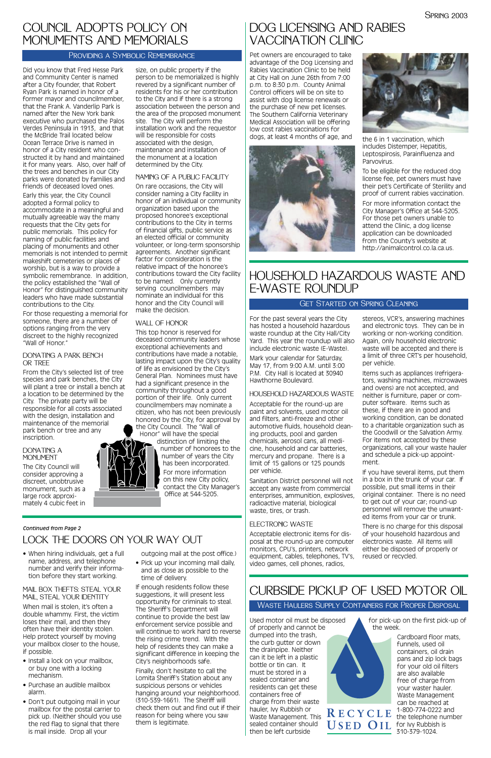#### *Continued from Page 2*

Did you know that Fred Hesse Park and Community Center is named after a City founder, that Robert Ryan Park is named in honor of a former mayor and councilmember, that the Frank A. Vanderlip Park is named after the New York bank executive who purchased the Palos Verdes Peninsula in 1913, and that the McBride Trail located below Ocean Terrace Drive is named in honor of a City resident who constructed it by hand and maintained it for many years. Also, over half of the trees and benches in our City parks were donated by families and friends of deceased loved ones. Early this year, the City Council adopted a formal policy to accommodate in a meaningful and mutually agreeable way the many requests that the City gets for public memorials. This policy for naming of public facilities and placing of monuments and other memorials is not intended to permit makeshift cemeteries or places of worship, but is a way to provide a symbolic remembrance. In addition, the policy established the "Wall of Honor" for distinguished community leaders who have made substantial contributions to the City.

#### DONATING A PARK BENCH OR TRFF

#### DONATING A**MONUMENT**

For those requesting a memorial for someone, there are a number of options ranging from the very discreet to the highly recognized "Wall of Honor."

From the City's selected list of tree species and park benches, the City will plant a tree or install a bench at a location to be determined by the City. The private party will be responsible for all costs associated with the design, installation and maintenance of the memorial park bench or tree and any inscription.

The City Council will consider approving a discreet, unobtrusive monument, such as a large rock approximately 4 cubic feet in

size, on public property if the person to be memorialized is highly revered by a significant number of residents for his or her contribution to the City and if there is a strong association between the person and the area of the proposed monument site. The City will perform the installation work and the requestor will be responsible for costs associated with the design, maintenance and installation of the monument at a location determined by the City.

### NAMING OF A PUBLIC FACILITY

On rare occasions, the City will consider naming a City facility in honor of an individual or community organization based upon the proposed honoree's exceptional contributions to the City in terms of financial gifts, public service as an elected official or community volunteer, or long-term sponsorship agreements. Another significant factor for consideration is the relative impact of the honoree's contributions toward the City facility to be named. Only currently serving councilmembers may nominate an individual for this honor and the City Council will make the decision.

> Items such as appliances (refrigerators, washing machines, microwaves and ovens) are not accepted, and neither is furniture, paper or computer software. Items such as these, if there are in good and working condition, can be donated to a charitable organization such as the Goodwill or the Salvation Army. For items not accepted by these organizations, call your waste hauler and schedule a pick-up appointment.

### WALL OF HONOR

This top honor is reserved for deceased community leaders whose exceptional achievements and contributions have made a notable, lasting impact upon the City's quality of life as envisioned by the City's General Plan. Nominees must have had a significant presence in the community throughout a good portion of their life. Only current councilmembers may nominate a citizen, who has not been previously honored by the City, for approval by the City Council. The "Wall of

• Pick up your incoming mail daily, and as close as possible to the time of delivery.

Honor" will have the special distinction of limiting the number of honorees to the number of years the City has been incorporated. For more information on this new City policy, contact the City Manager's Office at 544-5205.

# COUNCIL ADOPTS POLICY ON MONUMENTS AND MEMORIALS

### PROVIDING A SYMBOLIC REMEMBRANCE

Pet owners are encouraged to take advantage of the Dog Licensing and Rabies Vaccination Clinic to be held at City Hall on June 26th from 7:00 p.m. to 8:30 p.m. County Animal Control officers will be on site to assist with dog license renewals or the purchase of new pet licenses. The Southern California Veterinary Medical Association will be offering low cost rabies vaccinations for dogs, at least 4 months of age, and  $\overline{t}$  the 6 in 1 vaccination, which





For the past several years the City has hosted a household hazardous waste roundup at the City Hall/City Yard. This year the roundup will also include electronic waste (E-Waste).

Mark your calendar for Saturday, May 17, from 9:00 A.M. until 3:00 P.M. City Hall is located at 30940 Hawthorne Boulevard.

### HOUSEHOLD HAZARDOUS WASTE

Acceptable for the round-up are paint and solvents, used motor oil and filters, anti-freeze and other automotive fluids, household cleaning products, pool and garden chemicals, aerosol cans, all medicine, household and car batteries, mercury and propane. There is a limit of 15 gallons or 125 pounds per vehicle.

Sanitation District personnel will not accept any waste from commercial enterprises, ammunition, explosives, radioactive material, biological waste, tires, or trash.

### ELECTRONIC WASTE

stereos, VCR's, answering machines and electronic toys. They can be in working or non-working condition. Again, only household electronic waste will be accepted and there is a limit of three CRT's per household, per vehicle.

Acceptable electronic items for disposal at the round-up are computer monitors, CPU's, printers, network equipment, cables, telephones, TV's, video games, cell phones, radios, reused or recycled.

If you have several items, put them in a box in the trunk of your car. If possible, put small items in their original container. There is no need to get out of your car; round-up personnel will remove the unwanted items from your car or trunk.

There is no charge for this disposal of your household hazardous and electronics waste. All items will either be disposed of properly or



# HOUSEHOLD HAZARDOUS WASTE AND E-WASTE ROUNDUP

### Get Started on Spring Cleaning

• When hiring individuals, get a full

name, address, and telephone number and verify their information before they start working.

#### MAIL BOX THEFTS: STEAL YOUR MAIL, STEAL YOUR IDENTITY

When mail is stolen, it's often a double whammy. First, the victim loses their mail, and then they often have their identity stolen. Help protect yourself by moving your mailbox closer to the house, if possible.

- Install a lock on your mailbox, or buy one with a locking mechanism.
- Purchase an audible mailbox alarm.
- Don't put outgoing mail in your mailbox for the postal carrier to pick up. (Neither should you use the red flag to signal that there is mail inside. Drop all your

outgoing mail at the post office.)

If enough residents follow these suggestions, it will present less opportunity for criminals to steal. The Sheriff's Department will continue to provide the best law enforcement service possible and will continue to work hard to reverse the rising crime trend. With the help of residents they can make a significant difference in keeping the City's neighborhoods safe.

Finally, don't hesitate to call the Lomita Sheriff's Station about any suspicious persons or vehicles hanging around your neighborhood. (310-539-1661). The Sheriff will check them out and find out if their reason for being where you saw them is legitimate.

# LOCK THE DOORS ON YOUR WAY OUT

includes Distemper, Hepatitis, Leptospirosis, Parainfluenza and Parvovirus.

To be eligible for the reduced dog license fee, pet owners must have their pet's Certificate of Sterility and proof of current rabies vaccination.

For more information contact the City Manager's Office at 544-5205. For those pet owners unable to attend the Clinic, a dog license application can be downloaded from the County's website at http://animalcontrol.co.la.ca.us.

# DOG LICENSING AND RABIES VACCINATION CLINIC

for pick-up on the first pick-up of the week.

Used motor oil must be disposed of properly and cannot be dumped into the trash, the curb gutter or down the drainpipe. Neither can it be left in a plastic bottle or tin can. It must be stored in a sealed container and residents can get these containers free of charge from their waste hauler, Ivy Rubbish or Waste Management. This sealed container should then be left curbside **R ECYCLE U SED O I L**

Cardboard floor mats, funnels, used oil containers, oil drain pans and zip lock bags for your old oil filters are also available free of charge from your waster hauler. Waste Management can be reached at 1-800-774-0222 and the telephone number for Ivy Rubbish is 310-379-1024.

# CURBSIDE PICKUP OF USED MOTOR OIL

### Waste Haulers Supply Containers for Proper Disposal